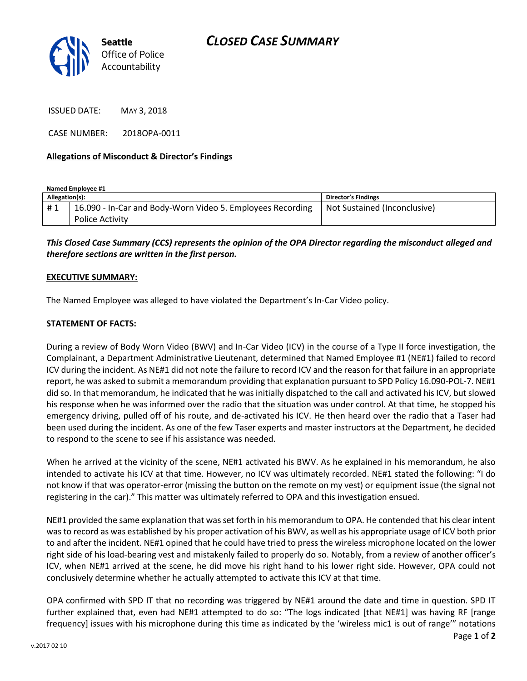

ISSUED DATE: MAY 3, 2018

CASE NUMBER: 2018OPA-0011

### **Allegations of Misconduct & Director's Findings**

**Named Employee #1 Allegation(s): Director's Findings** # 1 | 16.090 - In-Car and Body-Worn Video 5. Employees Recording Police Activity Not Sustained (Inconclusive)

*This Closed Case Summary (CCS) represents the opinion of the OPA Director regarding the misconduct alleged and therefore sections are written in the first person.* 

### **EXECUTIVE SUMMARY:**

The Named Employee was alleged to have violated the Department's In-Car Video policy.

### **STATEMENT OF FACTS:**

During a review of Body Worn Video (BWV) and In-Car Video (ICV) in the course of a Type II force investigation, the Complainant, a Department Administrative Lieutenant, determined that Named Employee #1 (NE#1) failed to record ICV during the incident. As NE#1 did not note the failure to record ICV and the reason for that failure in an appropriate report, he was asked to submit a memorandum providing that explanation pursuant to SPD Policy 16.090-POL-7. NE#1 did so. In that memorandum, he indicated that he was initially dispatched to the call and activated his ICV, but slowed his response when he was informed over the radio that the situation was under control. At that time, he stopped his emergency driving, pulled off of his route, and de-activated his ICV. He then heard over the radio that a Taser had been used during the incident. As one of the few Taser experts and master instructors at the Department, he decided to respond to the scene to see if his assistance was needed.

When he arrived at the vicinity of the scene, NE#1 activated his BWV. As he explained in his memorandum, he also intended to activate his ICV at that time. However, no ICV was ultimately recorded. NE#1 stated the following: "I do not know if that was operator-error (missing the button on the remote on my vest) or equipment issue (the signal not registering in the car)." This matter was ultimately referred to OPA and this investigation ensued.

NE#1 provided the same explanation that was set forth in his memorandum to OPA. He contended that his clear intent was to record as was established by his proper activation of his BWV, as well as his appropriate usage of ICV both prior to and after the incident. NE#1 opined that he could have tried to press the wireless microphone located on the lower right side of his load-bearing vest and mistakenly failed to properly do so. Notably, from a review of another officer's ICV, when NE#1 arrived at the scene, he did move his right hand to his lower right side. However, OPA could not conclusively determine whether he actually attempted to activate this ICV at that time.

OPA confirmed with SPD IT that no recording was triggered by NE#1 around the date and time in question. SPD IT further explained that, even had NE#1 attempted to do so: "The logs indicated [that NE#1] was having RF [range frequency] issues with his microphone during this time as indicated by the 'wireless mic1 is out of range'" notations

Page **1** of **2**